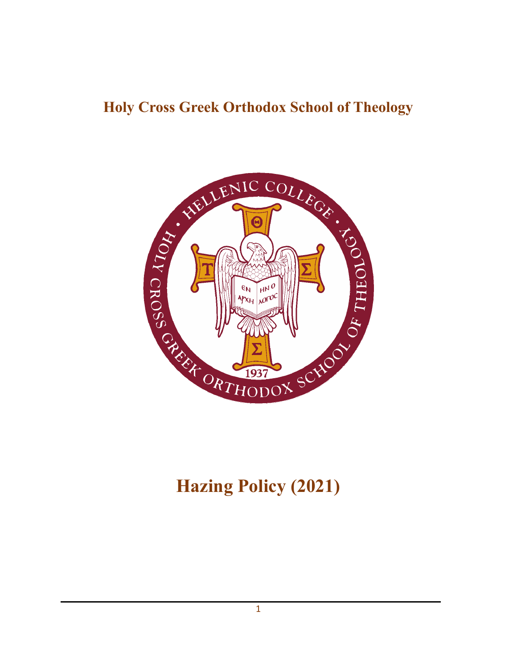## **Holy Cross Greek Orthodox School of Theology**



# **Hazing Policy (2021)**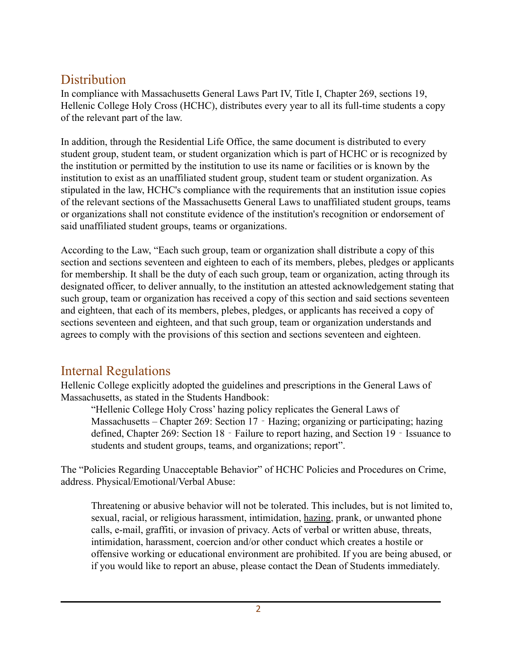### **Distribution**

In compliance with Massachusetts General Laws Part IV, Title I, Chapter 269, sections 19, Hellenic College Holy Cross (HCHC), distributes every year to all its full-time students a copy of the relevant part of the law.

In addition, through the Residential Life Office, the same document is distributed to every student group, student team, or student organization which is part of HCHC or is recognized by the institution or permitted by the institution to use its name or facilities or is known by the institution to exist as an unaffiliated student group, student team or student organization. As stipulated in the law, HCHC's compliance with the requirements that an institution issue copies of the relevant sections of the Massachusetts General Laws to unaffiliated student groups, teams or organizations shall not constitute evidence of the institution's recognition or endorsement of said unaffiliated student groups, teams or organizations.

According to the Law, "Each such group, team or organization shall distribute a copy of this section and sections seventeen and eighteen to each of its members, plebes, pledges or applicants for membership. It shall be the duty of each such group, team or organization, acting through its designated officer, to deliver annually, to the institution an attested acknowledgement stating that such group, team or organization has received a copy of this section and said sections seventeen and eighteen, that each of its members, plebes, pledges, or applicants has received a copy of sections seventeen and eighteen, and that such group, team or organization understands and agrees to comply with the provisions of this section and sections seventeen and eighteen.

### Internal Regulations

Hellenic College explicitly adopted the guidelines and prescriptions in the General Laws of Massachusetts, as stated in the Students Handbook:

"Hellenic College Holy Cross' hazing policy replicates the General Laws of Massachusetts – Chapter 269: Section 17 ‐ Hazing; organizing or participating; hazing defined, Chapter 269: Section 18 ‐ Failure to report hazing, and Section 19 ‐ Issuance to students and student groups, teams, and organizations; report".

The "Policies Regarding Unacceptable Behavior" of HCHC Policies and Procedures on Crime, address. Physical/Emotional/Verbal Abuse:

Threatening or abusive behavior will not be tolerated. This includes, but is not limited to, sexual, racial, or religious harassment, intimidation, hazing, prank, or unwanted phone calls, e-mail, graffiti, or invasion of privacy. Acts of verbal or written abuse, threats, intimidation, harassment, coercion and/or other conduct which creates a hostile or offensive working or educational environment are prohibited. If you are being abused, or if you would like to report an abuse, please contact the Dean of Students immediately.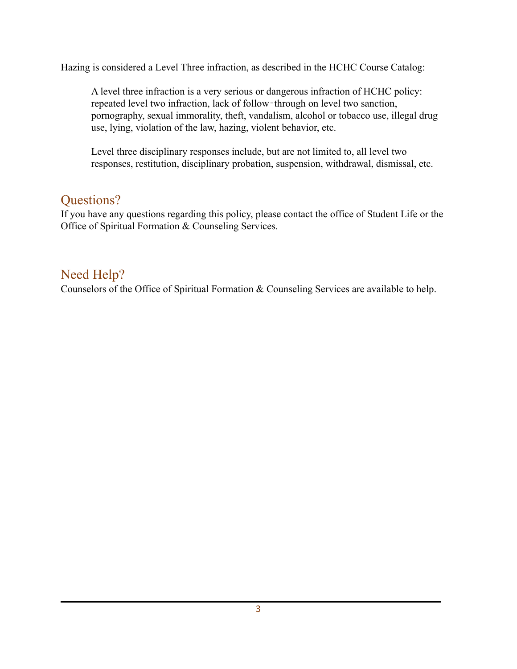Hazing is considered a Level Three infraction, as described in the HCHC Course Catalog:

A level three infraction is a very serious or dangerous infraction of HCHC policy: repeated level two infraction, lack of follow-through on level two sanction, pornography, sexual immorality, theft, vandalism, alcohol or tobacco use, illegal drug use, lying, violation of the law, hazing, violent behavior, etc.

Level three disciplinary responses include, but are not limited to, all level two responses, restitution, disciplinary probation, suspension, withdrawal, dismissal, etc.

### Questions?

If you have any questions regarding this policy, please contact the office of Student Life or the Office of Spiritual Formation & Counseling Services.

### Need Help?

Counselors of the Office of Spiritual Formation & Counseling Services are available to help.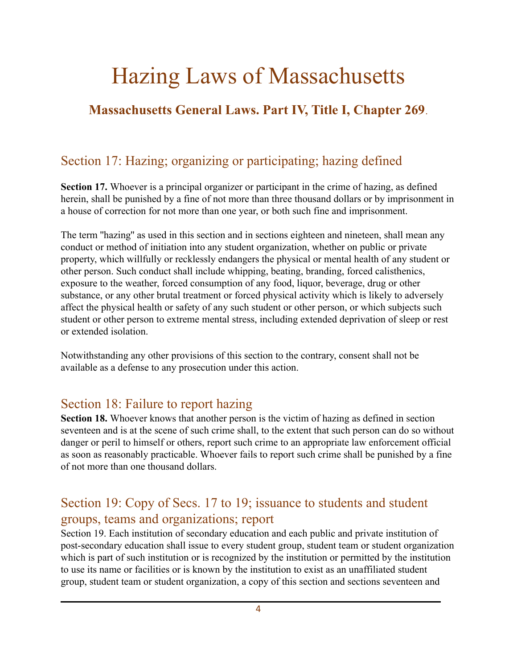# Hazing Laws of Massachusetts

### **Massachusetts General Laws. Part IV, Title I, Chapter 269**.

### Section 17: Hazing; organizing or participating; hazing defined

**Section 17.** Whoever is a principal organizer or participant in the crime of hazing, as defined herein, shall be punished by a fine of not more than three thousand dollars or by imprisonment in a house of correction for not more than one year, or both such fine and imprisonment.

The term ''hazing'' as used in this section and in sections eighteen and nineteen, shall mean any conduct or method of initiation into any student organization, whether on public or private property, which willfully or recklessly endangers the physical or mental health of any student or other person. Such conduct shall include whipping, beating, branding, forced calisthenics, exposure to the weather, forced consumption of any food, liquor, beverage, drug or other substance, or any other brutal treatment or forced physical activity which is likely to adversely affect the physical health or safety of any such student or other person, or which subjects such student or other person to extreme mental stress, including extended deprivation of sleep or rest or extended isolation.

Notwithstanding any other provisions of this section to the contrary, consent shall not be available as a defense to any prosecution under this action.

#### Section 18: Failure to report hazing

**Section 18.** Whoever knows that another person is the victim of hazing as defined in section seventeen and is at the scene of such crime shall, to the extent that such person can do so without danger or peril to himself or others, report such crime to an appropriate law enforcement official as soon as reasonably practicable. Whoever fails to report such crime shall be punished by a fine of not more than one thousand dollars.

### Section 19: Copy of Secs. 17 to 19; issuance to students and student groups, teams and organizations; report

Section 19. Each institution of secondary education and each public and private institution of post-secondary education shall issue to every student group, student team or student organization which is part of such institution or is recognized by the institution or permitted by the institution to use its name or facilities or is known by the institution to exist as an unaffiliated student group, student team or student organization, a copy of this section and sections seventeen and